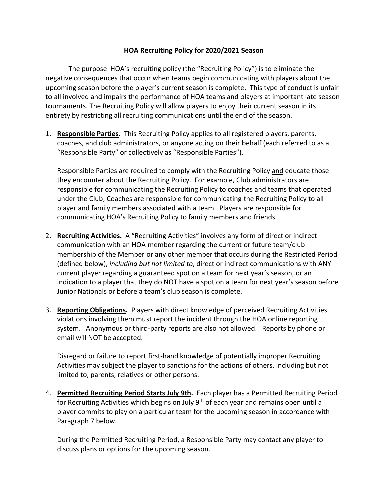## **HOA Recruiting Policy for 2020/2021 Season**

The purpose HOA's recruiting policy (the "Recruiting Policy") is to eliminate the negative consequences that occur when teams begin communicating with players about the upcoming season before the player's current season is complete. This type of conduct is unfair to all involved and impairs the performance of HOA teams and players at important late season tournaments. The Recruiting Policy will allow players to enjoy their current season in its entirety by restricting all recruiting communications until the end of the season.

1. **Responsible Parties.** This Recruiting Policy applies to all registered players, parents, coaches, and club administrators, or anyone acting on their behalf (each referred to as a "Responsible Party" or collectively as "Responsible Parties").

Responsible Parties are required to comply with the Recruiting Policy and educate those they encounter about the Recruiting Policy. For example, Club administrators are responsible for communicating the Recruiting Policy to coaches and teams that operated under the Club; Coaches are responsible for communicating the Recruiting Policy to all player and family members associated with a team. Players are responsible for communicating HOA's Recruiting Policy to family members and friends.

- 2. **Recruiting Activities.** A "Recruiting Activities" involves any form of direct or indirect communication with an HOA member regarding the current or future team/club membership of the Member or any other member that occurs during the Restricted Period (defined below), *including but not limited to*, direct or indirect communications with ANY current player regarding a guaranteed spot on a team for next year's season, or an indication to a player that they do NOT have a spot on a team for next year's season before Junior Nationals or before a team's club season is complete.
- 3. **Reporting Obligations.** Players with direct knowledge of perceived Recruiting Activities violations involving them must report the incident through the HOA online reporting system. Anonymous or third-party reports are also not allowed. Reports by phone or email will NOT be accepted.

Disregard or failure to report first-hand knowledge of potentially improper Recruiting Activities may subject the player to sanctions for the actions of others, including but not limited to, parents, relatives or other persons.

4. **Permitted Recruiting Period Starts July 9th.** Each player has a Permitted Recruiting Period for Recruiting Activities which begins on July 9<sup>th</sup> of each year and remains open until a player commits to play on a particular team for the upcoming season in accordance with Paragraph 7 below.

During the Permitted Recruiting Period, a Responsible Party may contact any player to discuss plans or options for the upcoming season.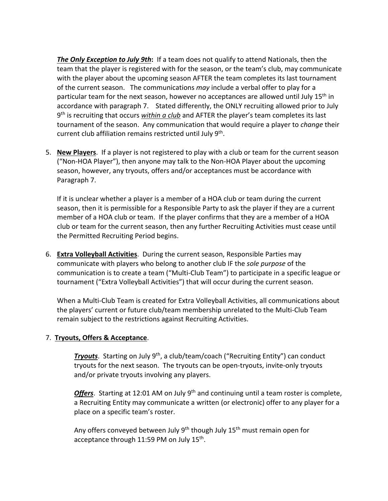*The Only Exception to July 9th***:** If a team does not qualify to attend Nationals, then the team that the player is registered with for the season, or the team's club, may communicate with the player about the upcoming season AFTER the team completes its last tournament of the current season. The communications *may* include a verbal offer to play for a particular team for the next season, however no acceptances are allowed until July 15<sup>th</sup> in accordance with paragraph 7. Stated differently, the ONLY recruiting allowed prior to July 9th is recruiting that occurs *within a club* and AFTER the player's team completes its last tournament of the season. Any communication that would require a player to *change* their current club affiliation remains restricted until July 9th.

5. **New Players**. If a player is not registered to play with a club or team for the current season ("Non-HOA Player"), then anyone may talk to the Non-HOA Player about the upcoming season, however, any tryouts, offers and/or acceptances must be accordance with Paragraph 7.

If it is unclear whether a player is a member of a HOA club or team during the current season, then it is permissible for a Responsible Party to ask the player if they are a current member of a HOA club or team. If the player confirms that they are a member of a HOA club or team for the current season, then any further Recruiting Activities must cease until the Permitted Recruiting Period begins.

6. **Extra Volleyball Activities**. During the current season, Responsible Parties may communicate with players who belong to another club IF the *sole purpose* of the communication is to create a team ("Multi-Club Team") to participate in a specific league or tournament ("Extra Volleyball Activities") that will occur during the current season.

When a Multi-Club Team is created for Extra Volleyball Activities, all communications about the players' current or future club/team membership unrelated to the Multi-Club Team remain subject to the restrictions against Recruiting Activities.

# 7. **Tryouts, Offers & Acceptance**.

**Tryouts**. Starting on July 9<sup>th</sup>, a club/team/coach ("Recruiting Entity") can conduct tryouts for the next season. The tryouts can be open-tryouts, invite-only tryouts and/or private tryouts involving any players.

Offers. Starting at 12:01 AM on July 9<sup>th</sup> and continuing until a team roster is complete, a Recruiting Entity may communicate a written (or electronic) offer to any player for a place on a specific team's roster.

Any offers conveyed between July  $9<sup>th</sup>$  though July  $15<sup>th</sup>$  must remain open for acceptance through 11:59 PM on July 15<sup>th</sup>.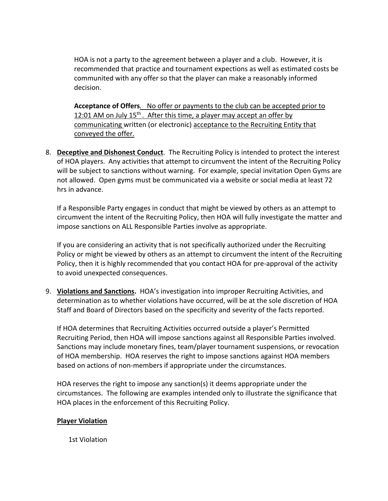HOA is not a party to the agreement between a player and a club. However, it is recommended that practice and tournament expections as well as estimated costs be communited with any offer so that the player can make a reasonably informed decision.

**Acceptance of Offers***.* No offer or payments to the club can be accepted prior to 12:01 AM on July 15<sup>th</sup>. After this time, a player may accept an offer by communicating written (or electronic) acceptance to the Recruiting Entity that conveyed the offer.

8. **Deceptive and Dishonest Conduct**. The Recruiting Policy is intended to protect the interest of HOA players. Any activities that attempt to circumvent the intent of the Recruiting Policy will be subject to sanctions without warning. For example, special invitation Open Gyms are not allowed. Open gyms must be communicated via a website or social media at least 72 hrs in advance.

If a Responsible Party engages in conduct that might be viewed by others as an attempt to circumvent the intent of the Recruiting Policy, then HOA will fully investigate the matter and impose sanctions on ALL Responsible Parties involve as appropriate.

If you are considering an activity that is not specifically authorized under the Recruiting Policy or might be viewed by others as an attempt to circumvent the intent of the Recruiting Policy, then it is highly recommended that you contact HOA for pre-approval of the activity to avoid unexpected consequences.

9. **Violations and Sanctions.** HOA's investigation into improper Recruiting Activities, and determination as to whether violations have occurred, will be at the sole discretion of HOA Staff and Board of Directors based on the specificity and severity of the facts reported.

If HOA determines that Recruiting Activities occurred outside a player's Permitted Recruiting Period, then HOA will impose sanctions against all Responsible Parties involved. Sanctions may include monetary fines, team/player tournament suspensions, or revocation of HOA membership. HOA reserves the right to impose sanctions against HOA members based on actions of non-members if appropriate under the circumstances.

HOA reserves the right to impose any sanction(s) it deems appropriate under the circumstances. The following are examples intended only to illustrate the significance that HOA places in the enforcement of this Recruiting Policy.

## **Player Violation**

1st Violation